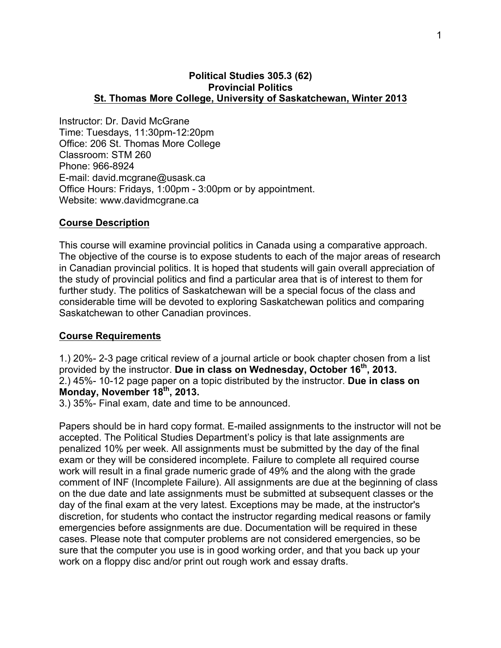#### **Political Studies 305.3 (62) Provincial Politics St. Thomas More College, University of Saskatchewan, Winter 2013**

Instructor: Dr. David McGrane Time: Tuesdays, 11:30pm-12:20pm Office: 206 St. Thomas More College Classroom: STM 260 Phone: 966-8924 E-mail: david.mcgrane@usask.ca Office Hours: Fridays, 1:00pm - 3:00pm or by appointment. Website: www.davidmcgrane.ca

### **Course Description**

This course will examine provincial politics in Canada using a comparative approach. The objective of the course is to expose students to each of the major areas of research in Canadian provincial politics. It is hoped that students will gain overall appreciation of the study of provincial politics and find a particular area that is of interest to them for further study. The politics of Saskatchewan will be a special focus of the class and considerable time will be devoted to exploring Saskatchewan politics and comparing Saskatchewan to other Canadian provinces.

#### **Course Requirements**

1.) 20%- 2-3 page critical review of a journal article or book chapter chosen from a list provided by the instructor. **Due in class on Wednesday, October 16th, 2013.**  2.) 45%- 10-12 page paper on a topic distributed by the instructor. **Due in class on Monday, November 18th, 2013.** 

3.) 35%- Final exam, date and time to be announced.

Papers should be in hard copy format. E-mailed assignments to the instructor will not be accepted. The Political Studies Department's policy is that late assignments are penalized 10% per week. All assignments must be submitted by the day of the final exam or they will be considered incomplete. Failure to complete all required course work will result in a final grade numeric grade of 49% and the along with the grade comment of INF (Incomplete Failure). All assignments are due at the beginning of class on the due date and late assignments must be submitted at subsequent classes or the day of the final exam at the very latest. Exceptions may be made, at the instructor's discretion, for students who contact the instructor regarding medical reasons or family emergencies before assignments are due. Documentation will be required in these cases. Please note that computer problems are not considered emergencies, so be sure that the computer you use is in good working order, and that you back up your work on a floppy disc and/or print out rough work and essay drafts.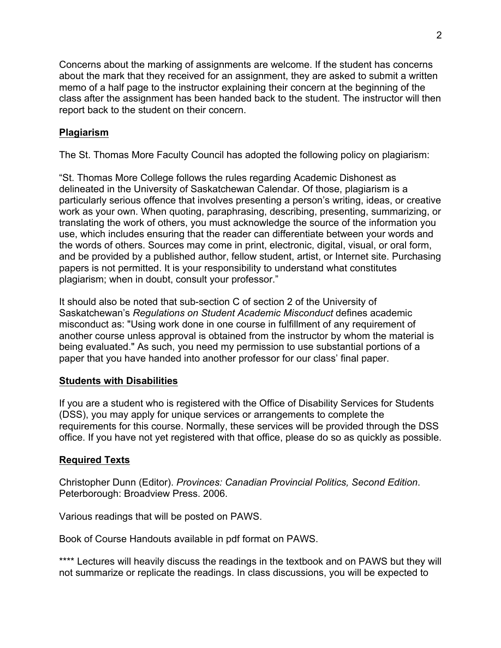Concerns about the marking of assignments are welcome. If the student has concerns about the mark that they received for an assignment, they are asked to submit a written memo of a half page to the instructor explaining their concern at the beginning of the class after the assignment has been handed back to the student. The instructor will then report back to the student on their concern.

# **Plagiarism**

The St. Thomas More Faculty Council has adopted the following policy on plagiarism:

"St. Thomas More College follows the rules regarding Academic Dishonest as delineated in the University of Saskatchewan Calendar. Of those, plagiarism is a particularly serious offence that involves presenting a person's writing, ideas, or creative work as your own. When quoting, paraphrasing, describing, presenting, summarizing, or translating the work of others, you must acknowledge the source of the information you use, which includes ensuring that the reader can differentiate between your words and the words of others. Sources may come in print, electronic, digital, visual, or oral form, and be provided by a published author, fellow student, artist, or Internet site. Purchasing papers is not permitted. It is your responsibility to understand what constitutes plagiarism; when in doubt, consult your professor."

It should also be noted that sub-section C of section 2 of the University of Saskatchewan's *Regulations on Student Academic Misconduct* defines academic misconduct as: "Using work done in one course in fulfillment of any requirement of another course unless approval is obtained from the instructor by whom the material is being evaluated." As such, you need my permission to use substantial portions of a paper that you have handed into another professor for our class' final paper.

## **Students with Disabilities**

If you are a student who is registered with the Office of Disability Services for Students (DSS), you may apply for unique services or arrangements to complete the requirements for this course. Normally, these services will be provided through the DSS office. If you have not yet registered with that office, please do so as quickly as possible.

### **Required Texts**

Christopher Dunn (Editor). *Provinces: Canadian Provincial Politics, Second Edition*. Peterborough: Broadview Press. 2006.

Various readings that will be posted on PAWS.

Book of Course Handouts available in pdf format on PAWS.

\*\*\*\* Lectures will heavily discuss the readings in the textbook and on PAWS but they will not summarize or replicate the readings. In class discussions, you will be expected to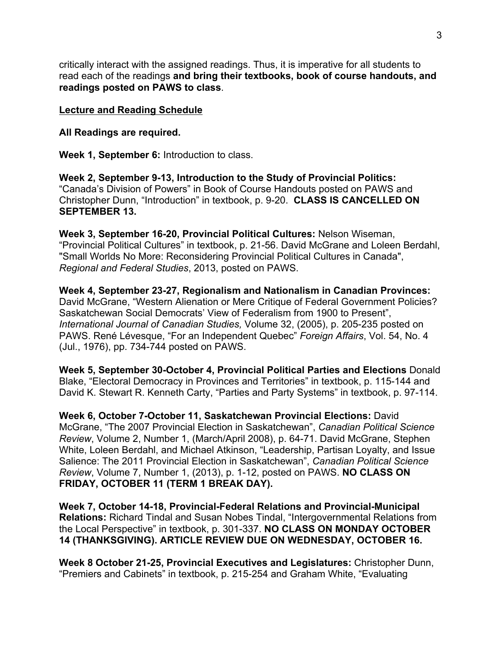critically interact with the assigned readings. Thus, it is imperative for all students to read each of the readings **and bring their textbooks, book of course handouts, and readings posted on PAWS to class**.

## **Lecture and Reading Schedule**

**All Readings are required.** 

**Week 1, September 6:** Introduction to class.

**Week 2, September 9-13, Introduction to the Study of Provincial Politics:** "Canada's Division of Powers" in Book of Course Handouts posted on PAWS and Christopher Dunn, "Introduction" in textbook, p. 9-20. **CLASS IS CANCELLED ON SEPTEMBER 13.** 

**Week 3, September 16-20, Provincial Political Cultures:** Nelson Wiseman, "Provincial Political Cultures" in textbook, p. 21-56. David McGrane and Loleen Berdahl, "Small Worlds No More: Reconsidering Provincial Political Cultures in Canada", *Regional and Federal Studies*, 2013, posted on PAWS.

**Week 4, September 23-27, Regionalism and Nationalism in Canadian Provinces:** David McGrane, "Western Alienation or Mere Critique of Federal Government Policies? Saskatchewan Social Democrats' View of Federalism from 1900 to Present", *International Journal of Canadian Studies,* Volume 32, (2005), p. 205-235 posted on PAWS. René Lévesque, "For an Independent Quebec" *Foreign Affairs*, Vol. 54, No. 4 (Jul., 1976), pp. 734-744 posted on PAWS.

**Week 5, September 30-October 4, Provincial Political Parties and Elections** Donald Blake, "Electoral Democracy in Provinces and Territories" in textbook, p. 115-144 and David K. Stewart R. Kenneth Carty, "Parties and Party Systems" in textbook, p. 97-114.

**Week 6, October 7-October 11, Saskatchewan Provincial Elections:** David McGrane, "The 2007 Provincial Election in Saskatchewan", *Canadian Political Science Review*, Volume 2, Number 1, (March/April 2008), p. 64-71. David McGrane, Stephen White, Loleen Berdahl, and Michael Atkinson, "Leadership, Partisan Loyalty, and Issue Salience: The 2011 Provincial Election in Saskatchewan", *Canadian Political Science Review*, Volume 7, Number 1, (2013), p. 1-12, posted on PAWS. **NO CLASS ON FRIDAY, OCTOBER 11 (TERM 1 BREAK DAY).**

**Week 7, October 14-18, Provincial-Federal Relations and Provincial-Municipal Relations:** Richard Tindal and Susan Nobes Tindal, "Intergovernmental Relations from the Local Perspective" in textbook, p. 301-337. **NO CLASS ON MONDAY OCTOBER 14 (THANKSGIVING). ARTICLE REVIEW DUE ON WEDNESDAY, OCTOBER 16.** 

**Week 8 October 21-25, Provincial Executives and Legislatures:** Christopher Dunn, "Premiers and Cabinets" in textbook, p. 215-254 and Graham White, "Evaluating